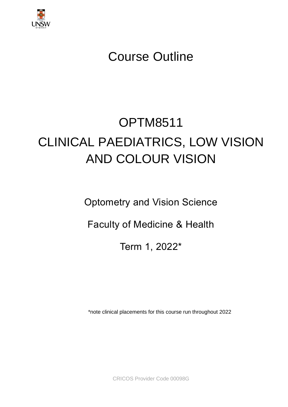

# Course Outline

# OPTM8511 CLINICAL PAEDIATRICS, LOW VISION AND COLOUR VISION

Optometry and Vision Science

Faculty of Medicine & Health

Term 1, 2022\*

\*note clinical placements for this course run throughout 2022

CRICOS Provider Code 00098G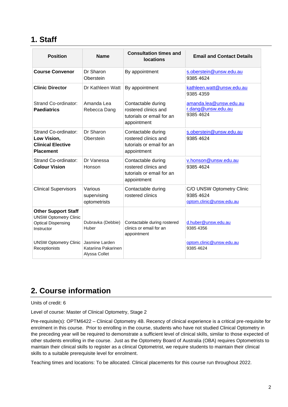### **1. Staff**

| <b>Position</b>                                                                                       | <b>Name</b>                                            | <b>Consultation times and</b><br><b>locations</b>                                      | <b>Email and Contact Details</b>                                   |
|-------------------------------------------------------------------------------------------------------|--------------------------------------------------------|----------------------------------------------------------------------------------------|--------------------------------------------------------------------|
| <b>Course Convenor</b>                                                                                | Dr Sharon<br>Oberstein                                 | By appointment                                                                         | s.oberstein@unsw.edu.au<br>9385 4624                               |
| <b>Clinic Director</b>                                                                                | Dr Kathleen Watt                                       | By appointment                                                                         | kathleen.watt@unsw.edu.au<br>9385 4359                             |
| Strand Co-ordinator:<br><b>Paediatrics</b>                                                            | Amanda Lea<br>Rebecca Dang                             | Contactable during<br>rostered clinics and<br>tutorials or email for an<br>appointment | amanda.lea@unsw.edu.au<br>r.dang@unsw.edu.au<br>9385 4624          |
| Strand Co-ordinator:<br>Low Vision,<br><b>Clinical Elective</b><br><b>Placement</b>                   | Dr Sharon<br>Oberstein                                 | Contactable during<br>rostered clinics and<br>tutorials or email for an<br>appointment | s.oberstein@unsw.edu.au<br>9385 4624                               |
| Strand Co-ordinator:<br><b>Colour Vision</b>                                                          | Dr Vanessa<br>Honson                                   | Contactable during<br>rostered clinics and<br>tutorials or email for an<br>appointment | v.honson@unsw.edu.au<br>9385 4624                                  |
| <b>Clinical Supervisors</b>                                                                           | Various<br>supervising<br>optometrists                 | Contactable during<br>rostered clinics                                                 | C/O UNSW Optometry Clinic<br>9385 4624<br>optom.clinic@unsw.edu.au |
| <b>Other Support Staff</b><br><b>UNSW Optometry Clinic</b><br><b>Optical Dispensing</b><br>Instructor | Dubravka (Debbie)<br>Huber                             | Contactable during rostered<br>clinics or email for an<br>appointment                  | d.huber@unsw.edu.au<br>9385 4356                                   |
| <b>UNSW Optometry Clinic</b><br>Receptionists                                                         | Jasmine Larden<br>Katariina Pakarinen<br>Alyssa Collet |                                                                                        | optom.clinic@unsw.edu.au<br>9385 4624                              |

# **2. Course information**

Units of credit: 6

Level of course: Master of Clinical Optometry, Stage 2

Pre-requisite(s): OPTM6422 – Clinical Optometry 4B. Recency of clinical experience is a critical pre-requisite for enrolment in this course. Prior to enrolling in the course, students who have not studied Clinical Optometry in the preceding year will be required to demonstrate a sufficient level of clinical skills, similar to those expected of other students enrolling in the course. Just as the Optometry Board of Australia (OBA) requires Optometrists to maintain their clinical skills to register as a clinical Optometrist, we require students to maintain their clinical skills to a suitable prerequisite level for enrolment.

Teaching times and locations: To be allocated. Clinical placements for this course run throughout 2022.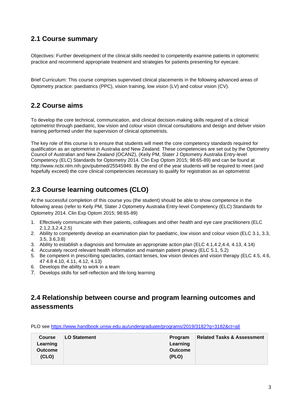### **2.1 Course summary**

Objectives: Further development of the clinical skills needed to competently examine patients in optometric practice and recommend appropriate treatment and strategies for patients presenting for eyecare.

Brief Curriculum: This course comprises supervised clinical placements in the following advanced areas of Optometry practice: paediatrics (PPC), vision training, low vision (LV) and colour vision (CV).

### **2.2 Course aims**

To develop the core technical, communication, and clinical decision-making skills required of a clinical optometrist through paediatric, low vision and colour vision clinical consultations and design and deliver vision training performed under the supervision of clinical optometrists.

The key role of this course is to ensure that students will meet the core competency standards required for qualification as an optometrist in Australia and New Zealand. These competencies are set out by the Optometry Council of Australian and New Zealand (OCANZ), (Keily PM, Slater J Optometry Australia Entry-level Competency (ELC) Standards for Optometry 2014. Clin Exp Optom 2015; 98:65-89) and can be found at http://www.ncbi.nlm.nih.gov/pubmed/25545949. By the end of the year students will be required to meet (and hopefully exceed) the core clinical competencies necessary to qualify for registration as an optometrist

### **2.3 Course learning outcomes (CLO)**

At the successful completion of this course you (the student) should be able to show competence in the following areas (refer to Keily PM, Slater J Optometry Australia Entry-level Competency (ELC) Standards for Optometry 2014. Clin Exp Optom 2015; 98:65-89)

- 1. Effectively communicate with their patients, colleagues and other health and eye care practitioners (ELC 2.1,2.3,2.4,2.5)
- 2. Ability to competently develop an examination plan for paediatric, low vision and colour vision (ELC 3.1, 3.3, 3.5, 3.6,3.8)
- 3. Ability to establish a diagnosis and formulate an appropriate action plan (ELC 4.1,4.2,4.4, 4.13, 4.14)
- 4. Accurately record relevant health information and maintain patient privacy (ELC 5.1, 5.2)
- 5. Be competent in prescribing spectacles, contact lenses, low vision devices and vision therapy (ELC 4.5, 4.6, 47 4.8 4.10, 4.11, 4.12, 4.13)
- 6. Develops the ability to work in a team
- 7. Develops skills for self-reflection and life-long learning

### **2.4 Relationship between course and program learning outcomes and assessments**

PLO see<https://www.handbook.unsw.edu.au/undergraduate/programs/2019/3182?q=3182&ct=all>

| <b>Course</b><br>Learning<br><b>Outcome</b> | <b>LO Statement</b> | Program<br>Learning<br><b>Outcome</b> | <b>Related Tasks &amp; Assessment</b> |
|---------------------------------------------|---------------------|---------------------------------------|---------------------------------------|
| (CLO)                                       |                     | (PLO)                                 |                                       |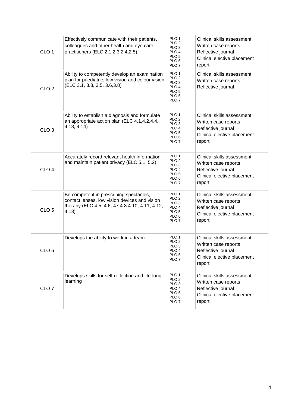| CLO <sub>1</sub> | Effectively communicate with their patients,<br>colleagues and other health and eye care<br>practitioners (ELC 2.1, 2.3, 2.4, 2.5)                   | PLO <sub>1</sub><br>PLO 2<br>PLO <sub>3</sub><br>PLO 4<br>PLO <sub>5</sub><br>PLO <sub>6</sub><br>PLO <sub>7</sub>            | Clinical skills assessment<br>Written case reports<br>Reflective journal<br>Clinical elective placement<br>report |
|------------------|------------------------------------------------------------------------------------------------------------------------------------------------------|-------------------------------------------------------------------------------------------------------------------------------|-------------------------------------------------------------------------------------------------------------------|
| CLO <sub>2</sub> | Ability to competently develop an examination<br>plan for paediatric, low vision and colour vision<br>(ELC 3.1, 3.3, 3.5, 3.6, 3.8)                  | PLO <sub>1</sub><br>PLO <sub>2</sub><br>PLO <sub>3</sub><br>PLO 4<br>PLO <sub>5</sub><br>PLO <sub>6</sub><br>PLO <sub>7</sub> | Clinical skills assessment<br>Written case reports<br>Reflective journal                                          |
| CLO <sub>3</sub> | Ability to establish a diagnosis and formulate<br>an appropriate action plan (ELC 4.1,4.2,4.4,<br>4.13, 4.14                                         | PLO <sub>1</sub><br>PLO <sub>2</sub><br>PLO <sub>3</sub><br>PLO 4<br>PLO <sub>5</sub><br>PLO <sub>6</sub><br>PLO <sub>7</sub> | Clinical skills assessment<br>Written case reports<br>Reflective journal<br>Clinical elective placement<br>report |
| CLO <sub>4</sub> | Accurately record relevant health information<br>and maintain patient privacy (ELC 5.1, 5.2)                                                         | PLO <sub>1</sub><br>PLO <sub>2</sub><br>PLO <sub>3</sub><br>PLO 4<br>PLO <sub>5</sub><br>PLO <sub>6</sub><br>PLO <sub>7</sub> | Clinical skills assessment<br>Written case reports<br>Reflective journal<br>Clinical elective placement<br>report |
| CLO <sub>5</sub> | Be competent in prescribing spectacles,<br>contact lenses, low vision devices and vision<br>therapy (ELC 4.5, 4.6, 47 4.8 4.10, 4.11, 4.12,<br>4.13) | PLO 1<br>PLO <sub>2</sub><br>PLO <sub>3</sub><br>PLO <sub>4</sub><br>PLO <sub>5</sub><br>PLO <sub>6</sub><br>PLO <sub>7</sub> | Clinical skills assessment<br>Written case reports<br>Reflective journal<br>Clinical elective placement<br>report |
| CLO <sub>6</sub> | Develops the ability to work in a team                                                                                                               | PLO <sub>1</sub><br>PLO <sub>2</sub><br>PLO <sub>3</sub><br>PLO 4<br>PLO <sub>6</sub><br>PLO <sub>7</sub>                     | Clinical skills assessment<br>Written case reports<br>Reflective journal<br>Clinical elective placement<br>report |
| CLO <sub>7</sub> | Develops skills for self-reflection and life-long<br>learning                                                                                        | PLO 1<br>PLO <sub>2</sub><br>PLO <sub>3</sub><br>PLO <sub>4</sub><br>PLO <sub>5</sub><br>PLO <sub>6</sub><br>PLO <sub>7</sub> | Clinical skills assessment<br>Written case reports<br>Reflective journal<br>Clinical elective placement<br>report |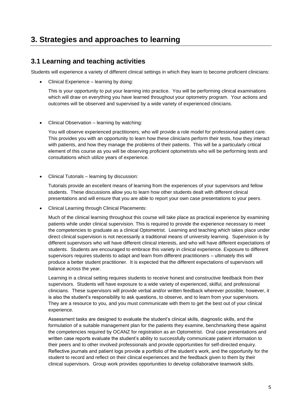## **3. Strategies and approaches to learning**

### **3.1 Learning and teaching activities**

Students will experience a variety of different clinical settings in which they learn to become proficient clinicians:

• Clinical Experience – learning by doing:

This is your opportunity to put your learning into practice. You will be performing clinical examinations which will draw on everything you have learned throughout your optometry program. Your actions and outcomes will be observed and supervised by a wide variety of experienced clinicians.

• Clinical Observation – learning by watching:

You will observe experienced practitioners, who will provide a role model for professional patient care. This provides you with an opportunity to learn how these clinicians perform their tests, how they interact with patients, and how they manage the problems of their patients. This will be a particularly critical element of this course as you will be observing proficient optometrists who will be performing tests and consultations which utilize years of experience.

• Clinical Tutorials – learning by discussion:

Tutorials provide an excellent means of learning from the experiences of your supervisors and fellow students. These discussions allow you to learn how other students dealt with different clinical presentations and will ensure that you are able to report your own case presentations to your peers.

• Clinical Learning through Clinical Placements:

Much of the clinical learning throughout this course will take place as practical experience by examining patients while under clinical supervision. This is required to provide the experience necessary to meet the competencies to graduate as a clinical Optometrist. Learning and teaching which takes place under direct clinical supervision is not necessarily a traditional means of university learning. Supervision is by different supervisors who will have different clinical interests, and who will have different expectations of students. Students are encouraged to embrace this variety in clinical experience. Exposure to different supervisors requires students to adapt and learn from different practitioners – ultimately this will produce a better student practitioner. It is expected that the different expectations of supervisors will balance across the year.

Learning in a clinical setting requires students to receive honest and constructive feedback from their supervisors. Students will have exposure to a wide variety of experienced, skilful, and professional clinicians. These supervisors will provide verbal and/or written feedback wherever possible; however, it is also the student's responsibility to ask questions, to observe, and to learn from your supervisors. They are a resource to you, and you must communicate with them to get the best out of your clinical experience.

Assessment tasks are designed to evaluate the student's clinical skills, diagnostic skills, and the formulation of a suitable management plan for the patients they examine, benchmarking these against the competencies required by OCANZ for registration as an Optometrist. Oral case presentations and written case reports evaluate the student's ability to successfully communicate patient information to their peers and to other involved professionals and provide opportunities for self-directed enquiry. Reflective journals and patient logs provide a portfolio of the student's work, and the opportunity for the student to record and reflect on their clinical experiences and the feedback given to them by their clinical supervisors. Group work provides opportunities to develop collaborative teamwork skills.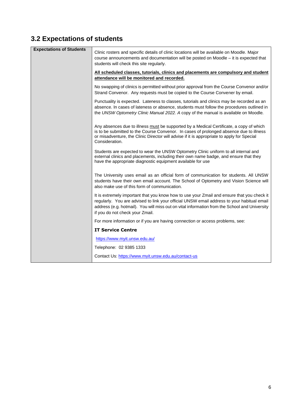# **3.2 Expectations of students**

| <b>Expectations of Students</b> | Clinic rosters and specific details of clinic locations will be available on Moodle. Major<br>course announcements and documentation will be posted on Moodle – it is expected that<br>students will check this site regularly.                                                                                              |
|---------------------------------|------------------------------------------------------------------------------------------------------------------------------------------------------------------------------------------------------------------------------------------------------------------------------------------------------------------------------|
|                                 | All scheduled classes, tutorials, clinics and placements are compulsory and student<br>attendance will be monitored and recorded.                                                                                                                                                                                            |
|                                 | No swapping of clinics is permitted without prior approval from the Course Convenor and/or<br>Strand Convenor. Any requests must be copied to the Course Convener by email.                                                                                                                                                  |
|                                 | Punctuality is expected. Lateness to classes, tutorials and clinics may be recorded as an<br>absence. In cases of lateness or absence, students must follow the procedures outlined in<br>the UNSW Optometry Clinic Manual 2022. A copy of the manual is available on Moodle.                                                |
|                                 | Any absences due to illness must be supported by a Medical Certificate, a copy of which<br>is to be submitted to the Course Convenor. In cases of prolonged absence due to illness<br>or misadventure, the Clinic Director will advise if it is appropriate to apply for Special<br>Consideration.                           |
|                                 | Students are expected to wear the UNSW Optometry Clinic uniform to all internal and<br>external clinics and placements, including their own name badge, and ensure that they<br>have the appropriate diagnostic equipment available for use                                                                                  |
|                                 | The University uses email as an official form of communication for students. All UNSW<br>students have their own email account. The School of Optometry and Vision Science will<br>also make use of this form of communication.                                                                                              |
|                                 | It is extremely important that you know how to use your Zmail and ensure that you check it<br>regularly. You are advised to link your official UNSW email address to your habitual email<br>address (e.g. hotmail). You will miss out on vital information from the School and University<br>if you do not check your Zmail. |
|                                 | For more information or if you are having connection or access problems, see:                                                                                                                                                                                                                                                |
|                                 | <b>IT Service Centre</b>                                                                                                                                                                                                                                                                                                     |
|                                 | https://www.myit.unsw.edu.au/                                                                                                                                                                                                                                                                                                |
|                                 | Telephone: 02 9385 1333                                                                                                                                                                                                                                                                                                      |
|                                 | Contact Us: https://www.myit.unsw.edu.au/contact-us                                                                                                                                                                                                                                                                          |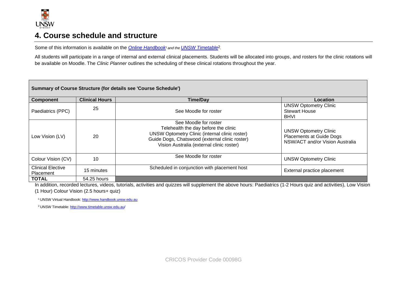

### **4. Course schedule and structure**

Some of this information is available on the *Online Handbook<sup>1</sup> and the UNSW Timetable*<sup>2</sup>.

All students will participate in a range of internal and external clinical placements. Students will be allocated into groups, and rosters for the clinic rotations will be available on Moodle. The *Clinic Planner* outlines the scheduling of these clinical rotations throughout the year.

| Summary of Course Structure (for details see 'Course Schedule') |                       |                                                                                                                                                                                                                       |                                                                                                    |  |
|-----------------------------------------------------------------|-----------------------|-----------------------------------------------------------------------------------------------------------------------------------------------------------------------------------------------------------------------|----------------------------------------------------------------------------------------------------|--|
| <b>Component</b>                                                | <b>Clinical Hours</b> | <b>Time/Dav</b>                                                                                                                                                                                                       | Location                                                                                           |  |
| Paediatrics (PPC)                                               | 25                    | See Moodle for roster                                                                                                                                                                                                 | <b>UNSW Optometry Clinic</b><br><b>Stewart House</b><br><b>BHVI</b>                                |  |
| Low Vision (LV)                                                 | 20                    | See Moodle for roster<br>Telehealth the day before the clinic<br><b>UNSW Optometry Clinic (internal clinic roster)</b><br>Guide Dogs, Chatswood (external clinic roster)<br>Vision Australia (external clinic roster) | <b>UNSW Optometry Clinic</b><br><b>Placements at Guide Dogs</b><br>NSW/ACT and/or Vision Australia |  |
| Colour Vision (CV)                                              | 10                    | See Moodle for roster                                                                                                                                                                                                 | <b>UNSW Optometry Clinic</b>                                                                       |  |
| <b>Clinical Elective</b><br>Placement                           | 15 minutes            | Scheduled in conjunction with placement host                                                                                                                                                                          | External practice placement                                                                        |  |
| <b>TOTAL</b>                                                    | 54.25 hours           |                                                                                                                                                                                                                       |                                                                                                    |  |

In addition, recorded lectures, videos, tutorials, activities and quizzes will supplement the above hours: Paediatrics (1-2 Hours quiz and activities), Low Vision

(1 Hour) Colour Vision (2.5 hours+ quiz)

<sup>1</sup>UNSW Virtual Handbook[: http://www.handbook.unsw.edu.au](https://www.handbook.unsw.edu.au/)

<sup>2</sup> UNSW Timetable[: http://www.timetable.unsw.edu.au/](http://www.timetable.unsw.edu.au/)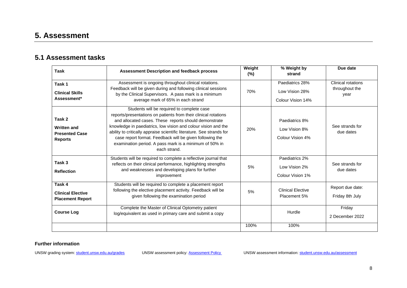## **5. Assessment**

### **5.1 Assessment tasks**

| <b>Task</b>                                                             | <b>Assessment Description and feedback process</b>                                                                                                                                                                                                                                                                                                                                                                                                      | Weight<br>$(\%)$ | % Weight by<br>strand                                  | Due date                                     |
|-------------------------------------------------------------------------|---------------------------------------------------------------------------------------------------------------------------------------------------------------------------------------------------------------------------------------------------------------------------------------------------------------------------------------------------------------------------------------------------------------------------------------------------------|------------------|--------------------------------------------------------|----------------------------------------------|
| Task 1<br><b>Clinical Skills</b><br>Assessment*                         | Assessment is ongoing throughout clinical rotations.<br>Feedback will be given during and following clinical sessions<br>by the Clinical Supervisors. A pass mark is a minimum<br>average mark of 65% in each strand                                                                                                                                                                                                                                    | 70%              | Paediatrics 28%<br>Low Vision 28%<br>Colour Vision 14% | Clinical rotations<br>throughout the<br>year |
| Task 2<br><b>Written and</b><br><b>Presented Case</b><br><b>Reports</b> | Students will be required to complete case<br>reports/presentations on patients from their clinical rotations<br>and allocated cases. These reports should demonstrate<br>knowledge in paediatrics, low vision and colour vision and the<br>ability to critically appraise scientific literature. See strands for<br>case report format. Feedback will be given following the<br>examination period. A pass mark is a minimum of 50% in<br>each strand. | 20%              | Paediatrics 8%<br>Low Vision 8%<br>Colour Vision 4%    | See strands for<br>due dates                 |
| Task 3<br><b>Reflection</b>                                             | Students will be required to complete a reflective journal that<br>reflects on their clinical performance, highlighting strengths<br>and weaknesses and developing plans for further<br>improvement                                                                                                                                                                                                                                                     | 5%               | Paediatrics 2%<br>Low Vision 2%<br>Colour Vision 1%    | See strands for<br>due dates                 |
| Task 4<br><b>Clinical Elective</b><br><b>Placement Report</b>           | Students will be required to complete a placement report<br>following the elective placement activity. Feedback will be<br>given following the examination period                                                                                                                                                                                                                                                                                       | 5%               | <b>Clinical Elective</b><br>Placement 5%               | Report due date:<br>Friday 8th July          |
| <b>Course Log</b>                                                       | Complete the Master of Clinical Optometry patient<br>log/equivalent as used in primary care and submit a copy                                                                                                                                                                                                                                                                                                                                           |                  | Hurdle                                                 | Friday<br>2 December 2022                    |
|                                                                         |                                                                                                                                                                                                                                                                                                                                                                                                                                                         | 100%             | 100%                                                   |                                              |

#### **Further information**

UNSW grading system[: student.unsw.edu.au/grades](https://student.unsw.edu.au/grades) UNSW assessment policy: [Assessment Policy](https://www.gs.unsw.edu.au/policy/documents/assessmentpolicy.pdf) UNSW assessment information[: student.unsw.edu.au/assessment](https://student.unsw.edu.au/assessment)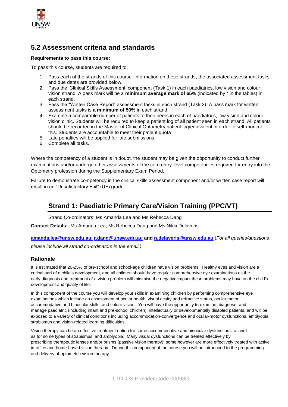

### **5.2 Assessment criteria and standards**

#### **Requirements to pass this course:**

To pass this course, students are required to:

- 1. Pass each of the strands of this course. Information on these strands, the associated assessment tasks and due dates are provided below.
- 2. Pass the 'Clinical Skills Assessment' component (Task 1) in each paediatrics, low vision and colour vision strand. A pass mark will be a **minimum average mark of 65%** (indicated by \* in the tables) in each strand.
- 3. Pass the "Written Case Report" assessment tasks in each strand (Task 2). A pass mark for written assessment tasks is **a minimum of 50%** in each strand.
- 4. Examine a comparable number of patients to their peers in each of paediatrics, low vision and colour vision clinic. Students will be required to keep a patient log of all patient seen in each strand. All patients should be recorded in the Master of Clinical Optometry patient log/equivalent in order to self-monitor this. Students are accountable to meet their patient quota
- 5. Late penalties will be applied for late submissions.
- 6. Complete all tasks.

Where the competency of a student is in doubt, the student may be given the opportunity to conduct further examinations and/or undergo other assessments of the core entry-level competencies required for entry into the Optometry profession during the Supplementary Exam Period.

Failure to demonstrate competency in the clinical skills assessment component and/or written case report will result in an "Unsatisfactory Fail" (UF) grade.

### **Strand 1: Paediatric Primary Care/Vision Training (PPC/VT)**

Strand Co-ordinators: Ms Amanda Lea and Ms Rebecca Dang

**Contact Details:** Ms Amanda Lea, Ms Rebecca Dang and Ms Nikki Delaveris

**[amanda.lea@unsw.edu.au,](mailto:amanda.lea@unsw.edu.au) [r.dang@unsw.edu.au](mailto:r.dang@unsw.edu.au) and [n.delaveris@unsw.edu.au](mailto:n.delaveris@unsw.edu.au)** (*For all queries/questions please include all strand co-ordinators in the email.)* 

#### **Rationale**

It is estimated that 20-25% of pre-school and school-age children have vision problems. Healthy eyes and vision are a critical part of a child's development, and all children should have regular comprehensive eye examinations as the early diagnosis and treatment of a vision problem will minimise the negative impact these problems may have on the child's development and quality of life.

In this component of the course you will develop your skills in examining children by performing comprehensive eye examinations which include an assessment of ocular health, visual acuity and refractive status, ocular motor, accommodative and binocular skills, and colour vision. You will have the opportunity to examine, diagnose, and manage paediatric (including infant and pre-school children), intellectually or developmentally disabled patients, and will be exposed to a variety of clinical conditions including accommodation-convergence and ocular-motor dysfunctions, amblyopia, strabismus and vision-related learning difficulties.

Vision therapy can be an effective treatment option for some accommodative and binocular dysfunctions, as well as for some types of strabismus, and amblyopia. Many visual dysfunctions can be treated effectively by prescribing therapeutic lenses and/or prisms (passive vision therapy); some however are more effectively treated with active in-office and home-based vision therapy. During this component of the course you will be introduced to the programming and delivery of optometric vision therapy.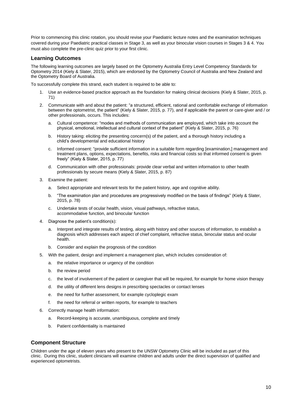Prior to commencing this clinic rotation, you should revise your Paediatric lecture notes and the examination techniques covered during your Paediatric practical classes in Stage 3, as well as your binocular vision courses in Stages 3 & 4. You must also complete the pre-clinic quiz prior to your first clinic.

#### **Learning Outcomes**

The following learning outcomes are largely based on the Optometry Australia Entry Level Competency Standards for Optometry 2014 (Kiely & Slater, 2015), which are endorsed by the Optometry Council of Australia and New Zealand and the Optometry Board of Australia.

To successfully complete this strand, each student is required to be able to:

- Use an evidence-based practice approach as the foundation for making clinical decisions (Kiely & Slater, 2015, p. 71)
- 2. Communicate with and about the patient: "a structured, efficient, rational and comfortable exchange of information between the optometrist, the patient" (Kiely & Slater, 2015, p. 77), and if applicable the parent or care-giver and / or other professionals, occurs. This includes:
	- a. Cultural competence: "modes and methods of communication are employed, which take into account the physical, emotional, intellectual and cultural context of the patient" (Kiely & Slater, 2015, p. 76)
	- b. History taking: eliciting the presenting concern(s) of the patient, and a thorough history including a child's developmental and educational history
	- c. Informed consent: "provide sufficient information in a suitable form regarding [examination,] management and treatment plans, options, expectations, benefits, risks and financial costs so that informed consent is given freely" (Kiely & Slater, 2015, p. 77)
	- d. Communication with other professionals: provide clear verbal and written information to other health professionals by secure means (Kiely & Slater, 2015, p. 87)
- 3. Examine the patient:
	- a. Select appropriate and relevant tests for the patient history, age and cognitive ability.
	- b. "The examination plan and procedures are progressively modified on the basis of findings" (Kiely & Slater, 2015, p. 78)
	- c. Undertake tests of ocular health, vision, visual pathways, refractive status, accommodative function, and binocular function
- 4. Diagnose the patient's condition(s):
	- a. Interpret and integrate results of testing, along with history and other sources of information, to establish a diagnosis which addresses each aspect of chief complaint, refractive status, binocular status and ocular health.
	- b. Consider and explain the prognosis of the condition
- 5. With the patient, design and implement a management plan, which includes consideration of:
	- a. the relative importance or urgency of the condition
	- b. the review period
	- c. the level of involvement of the patient or caregiver that will be required, for example for home vision therapy
	- d. the utility of different lens designs in prescribing spectacles or contact lenses
	- e. the need for further assessment, for example cycloplegic exam
	- f. the need for referral or written reports, for example to teachers
- 6. Correctly manage health information:
	- a. Record-keeping is accurate, unambiguous, complete and timely
	- b. Patient confidentiality is maintained

#### **Component Structure**

Children under the age of eleven years who present to the UNSW Optometry Clinic will be included as part of this clinic. During this clinic, student clinicians will examine children and adults under the direct supervision of qualified and experienced optometrists.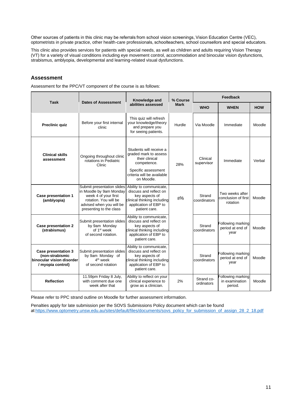Other sources of patients in this clinic may be referrals from school vision screenings, Vision Education Centre (VEC), optometrists in private practice, other health-care professionals, schoolteachers, school counsellors and special educators. 

This clinic also provides services for patients with special needs, as well as children and adults requiring Vision Therapy (VT) for a variety of visual conditions including eye movement control, accommodation and binocular vision dysfunctions, strabismus, amblyopia, developmental and learning-related visual dysfunctions.

#### **Assessment**

Assessment for the PPC/VT component of the course is as follows:

|                                                                                                 |                                                                                                                                                               | Knowledge and                                                                                                                                        | % Course    | Feedback                 |                                                    |            |
|-------------------------------------------------------------------------------------------------|---------------------------------------------------------------------------------------------------------------------------------------------------------------|------------------------------------------------------------------------------------------------------------------------------------------------------|-------------|--------------------------|----------------------------------------------------|------------|
| <b>Task</b>                                                                                     | <b>Dates of Assessment</b>                                                                                                                                    | abilities assessed                                                                                                                                   | <b>Mark</b> | <b>WHO</b>               | WHEN                                               | <b>HOW</b> |
| <b>Preclinic quiz</b>                                                                           | Before your first internal<br>clinic                                                                                                                          | This quiz will refresh<br>your knowledge/theory<br>and prepare you<br>for seeing patients.                                                           | Hurdle      | Via Moodle               | Immediate                                          | Moodle     |
| <b>Clinical skills</b><br>assessment                                                            | Ongoing throughout clinic<br>rotations in Pediatric<br>Clinic                                                                                                 | Students will receive a<br>graded mark to assess<br>their clinical<br>competence.<br>Specific assessment<br>criteria will be available<br>on Moodle. | 28%         | Clinical<br>supervisor   | Immediate                                          | Verbal     |
| <b>Case presentation 1</b><br>(amblyopia)                                                       | Submit presentation slides<br>in Moodle by 9am Monday<br>week 4 of your first<br>rotation. You will be<br>advised when you will be<br>presenting to the class | Ability to communicate,<br>discuss and reflect on<br>key aspects of<br>clinical thinking including<br>application of EBP to<br>patient care.         | 8%          | Strand<br>coordinators   | Two weeks after<br>conclusion of first<br>rotation | Moodle     |
| <b>Case presentation 2</b><br>(strabismus)                                                      | Submit presentation slides<br>by 9am Monday<br>of 1 <sup>st</sup> week<br>of second rotation.                                                                 | Ability to communicate,<br>discuss and reflect on<br>key aspects of<br>clinical thinking including<br>application of EBP to<br>patient care.         |             | Strand<br>coordinators   | Following marking<br>period at end of<br>year      | Moodle     |
| <b>Case presentation 3</b><br>(non-strabismic<br>binocular vision disorder<br>/ myopia control) | Submit presentation slides<br>by 9am Monday of<br>$4th$ week<br>of second rotation                                                                            | Ability to communicate,<br>discuss and reflect on<br>key aspects of<br>clinical thinking including<br>application of EBP to<br>patient care.         |             | Strand<br>coordinators   | Following marking<br>period at end of<br>year      | Moodle     |
| <b>Reflection</b>                                                                               | 11.59pm Friday 8 July,<br>with comment due one<br>week after that                                                                                             | Ability to reflect on your<br>clinical experience to<br>grow as a clinician.                                                                         | 2%          | Strand co-<br>ordinators | Following marking<br>in examination<br>period.     | Moodle     |

Please refer to PPC strand outline on Moodle for further assessment information.

Penalties apply for late submission per the SOVS Submissions Policy document which can be found a[t https://www.optometry.unsw.edu.au/sites/default/files/documents/sovs\\_policy\\_for\\_submission\\_of\\_assign\\_28\\_2\\_18.pdf](https://www.optometry.unsw.edu.au/sites/default/files/documents/sovs_policy_for_submission_of_assign_28_2_18.pdf)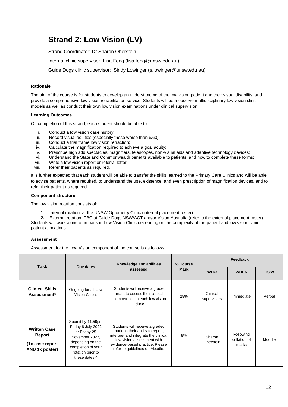# **Strand 2: Low Vision (LV)**

Strand Coordinator: Dr Sharon Oberstein

Internal clinic supervisor: Lisa Feng (lisa.feng@unsw.edu.au)

Guide Dogs clinic supervisor: Sindy Lowinger (s.lowinger@unsw.edu.au)

#### **Rationale**

The aim of the course is for students to develop an understanding of the low vision patient and their visual disability; and provide a comprehensive low vision rehabilitation service. Students will both observe multidisciplinary low vision clinic models as well as conduct their own low vision examinations under clinical supervision.

#### **Learning Outcomes**

On completion of this strand, each student should be able to:

- i. Conduct a low vision case history;<br>ii. Record visual acuities (especially
- ii. Record visual acuities (especially those worse than 6/60);<br>iii. Conduct a trial frame low vision refraction:
- Conduct a trial frame low vision refraction;
- iv. Calculate the magnification required to achieve a goal acuity;
- v. Prescribe high add spectacles, magnifiers, telescopes, non-visual aids and adaptive technology devices;
- vi. Understand the State and Commonwealth benefits available to patients, and how to complete these forms;
- vii. Write a low vision report or referral letter;<br>viii. Refer their patients as required.
- Refer their patients as required.

It is further expected that each student will be able to transfer the skills learned to the Primary Care Clinics and will be able to advise patients, where required, to understand the use, existence, and even prescription of magnification devices, and to refer their patient as required.

#### **Component structure**

The low vision rotation consists of:

1. Internal rotation: at the UNSW Optometry Clinic (internal placement roster)

**2.** External rotation: TBC at Guide Dogs NSW/ACT and/or Vision Australia (refer to the external placement roster) Students will work alone or in pairs in Low Vision Clinic depending on the complexity of the patient and low vision clinic patient allocations.

#### **Assessment**

Assessment for the Low Vision component of the course is as follows:

| Task                                                                | Due dates                                                                                                                                                 | Knowledge and abilities                                                                                                                                                                                       | % Course    | Feedback                |                                    |            |
|---------------------------------------------------------------------|-----------------------------------------------------------------------------------------------------------------------------------------------------------|---------------------------------------------------------------------------------------------------------------------------------------------------------------------------------------------------------------|-------------|-------------------------|------------------------------------|------------|
|                                                                     |                                                                                                                                                           | assessed                                                                                                                                                                                                      | <b>Mark</b> | <b>WHO</b>              | <b>WHEN</b>                        | <b>HOW</b> |
| <b>Clinical Skills</b><br>Assessment*                               | Ongoing for all Low<br><b>Vision Clinics</b>                                                                                                              | Students will receive a graded<br>mark to assess their clinical<br>competence in each low vision<br>clinic                                                                                                    | 28%         | Clinical<br>supervisors | Immediate                          | Verbal     |
| <b>Written Case</b><br>Report<br>(1x case report)<br>AND 1x poster) | Submit by 11.59pm<br>Friday 8 July 2022<br>or Friday 25<br>November 2022.<br>depending on the<br>completion of your<br>rotation prior to<br>these dates ^ | Students will receive a graded<br>mark on their ability to report,<br>interpret and integrate the clinical<br>low vision assessment with<br>evidence-based practice. Please<br>refer to guidelines on Moodle. | 8%          | Sharon<br>Oberstein     | Following<br>collation of<br>marks | Moodle     |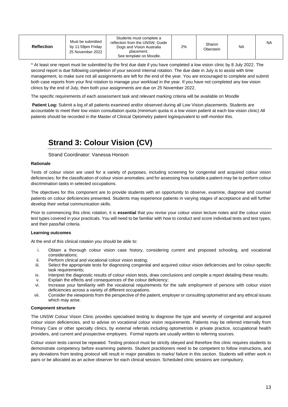| <b>Reflection</b> | Must be submitted<br>by 11:59pm Fridav<br>25 November 2022 | Students must complete a<br>reflection from the UNSW. Guide<br>Dogs and Vision Australia<br>placement.<br>See template on Moodle. | 2% | Sharon<br>Oberstein | <b>NA</b> | <b>NA</b> |
|-------------------|------------------------------------------------------------|-----------------------------------------------------------------------------------------------------------------------------------|----|---------------------|-----------|-----------|
|-------------------|------------------------------------------------------------|-----------------------------------------------------------------------------------------------------------------------------------|----|---------------------|-----------|-----------|

^ At least one report must be submitted by the first due date if you have completed a low vision clinic by 8 July 2022. The second report is due following completion of your second internal rotation. The due date in July is to assist with time management, to make sure not all assignments are left for the end of the year. You are encouraged to complete and submit both case reports from your first rotation to manage your workload in the year. If you have not completed any low vision clinics by the end of July, then both your assignments are due on 25 November 2022.

The specific requirements of each assessment task and relevant marking criteria will be available on Moodle

**Patient Log:** Submit a log of all patients examined and/or observed during all Low Vision placements. Students are accountable to meet their low vision consultation quota (minimum quota is a low vision patient at each low vision clinic) All patients should be recorded in the Master of Clinical Optometry patient log/equivalent to self-monitor this.

# **Strand 3: Colour Vision (CV)**

Strand Coordinator: Vanessa Honson

#### **Rationale**

Tests of colour vision are used for a variety of purposes, including screening for congenital and acquired colour vision deficiencies; for the classification of colour vision anomalies; and for assessing how suitable a patient may be to perform colour discrimination tasks in selected occupations.

The objectives for this component are to provide students with an opportunity to observe, examine, diagnose and counsel patients on colour deficiencies presented. Students may experience patients in varying stages of acceptance and will further develop their verbal communication skills.

Prior to commencing this clinic rotation, it is **essential** that you revise your colour vision lecture notes and the colour vision test types covered in your practicals. You will need to be familiar with how to conduct and score individual tests and test types, and their pass/fail criteria.

#### **Learning outcomes**

At the end of this clinical rotation you should be able to:

- i. Obtain a thorough colour vision case history, considering current and proposed schooling, and vocational considerations;
- ii. Perform clinical and vocational colour vision testing;
- iii. Select the appropriate tests for diagnosing congenital and acquired colour vision deficiencies and for colour-specific task requirements;
- iv. Interpret the diagnostic results of colour vision tests, draw conclusions and compile a report detailing these results;
- v. Explain the effects and consequences of the colour deficiency;
- vi. Increase your familiarity with the vocational requirements for the safe employment of persons with colour vision deficiencies across a variety of different occupations.
- vii. Consider the viewpoints from the perspective of the patient, employer or consulting optometrist and any ethical issues which may arise.

#### **Component structure**

The UNSW Colour Vision Clinic provides specialised testing to diagnose the type and severity of congenital and acquired colour vision deficiencies, and to advise on vocational colour vision requirements. Patients may be referred internally from Primary Care or other specialty clinics, by external referrals including optometrists in private practice, occupational health providers, and current and prospective employers. Formal reports are usually written to referring sources.

Colour vision tests cannot be repeated. Testing protocol must be strictly obeyed and therefore this clinic requires students to demonstrate competency before examining patients. Student practitioners need to be competent to follow instructions, and any deviations from testing protocol will result in major penalties to marks/ failure in this section. Students will either work in pairs or be allocated as an active observer for each clinical session. Scheduled clinic sessions are compulsory.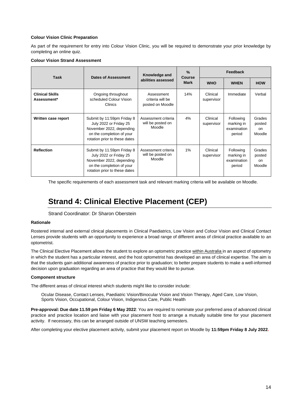#### **Colour Vision Clinic Preparation**

As part of the requirement for entry into Colour Vision Clinic, you will be required to demonstrate your prior knowledge by completing an online quiz.

#### **Colour Vision Strand Assessment**

| <b>Task</b>                           | <b>Dates of Assessment</b>                                                                                                                     | Knowledge and                                      | $\%$<br>Course | Feedback               |                                                  |                                         |
|---------------------------------------|------------------------------------------------------------------------------------------------------------------------------------------------|----------------------------------------------------|----------------|------------------------|--------------------------------------------------|-----------------------------------------|
| abilities assessed                    |                                                                                                                                                | <b>Mark</b>                                        | <b>WHO</b>     | <b>WHEN</b>            | <b>HOW</b>                                       |                                         |
| <b>Clinical Skills</b><br>Assessment* | Ongoing throughout<br>scheduled Colour Vision<br>Clinics                                                                                       | Assessment<br>criteria will be<br>posted on Moodle | 14%            | Clinical<br>supervisor | Immediate                                        | Verbal                                  |
| Written case report                   | Submit by 11:59pm Friday 8<br>July 2022 or Friday 25<br>November 2022, depending<br>on the completion of your<br>rotation prior to these dates | Assessment criteria<br>will be posted on<br>Moodle | 4%             | Clinical<br>supervisor | Following<br>marking in<br>examination<br>period | Grades<br>posted<br><b>on</b><br>Moodle |
| <b>Reflection</b>                     | Submit by 11.59pm Friday 8<br>July 2022 or Friday 25<br>November 2022, depending<br>on the completion of your<br>rotation prior to these dates | Assessment criteria<br>will be posted on<br>Moodle | $1\%$          | Clinical<br>supervisor | Following<br>marking in<br>examination<br>period | Grades<br>posted<br><b>on</b><br>Moodle |

The specific requirements of each assessment task and relevant marking criteria will be available on Moodle.

# **Strand 4: Clinical Elective Placement (CEP)**

#### Strand Coordinator: Dr Sharon Oberstein

#### **Rationale**

Rostered internal and external clinical placements in Clinical Paediatrics, Low Vision and Colour Vision and Clinical Contact Lenses provide students with an opportunity to experience a broad range of different areas of clinical practice available to an optometrist.

The Clinical Elective Placement allows the student to explore an optometric practice within Australia in an aspect of optometry in which the student has a particular interest, and the host optometrist has developed an area of clinical expertise. The aim is that the students gain additional awareness of practice prior to graduation; to better prepare students to make a well-informed decision upon graduation regarding an area of practice that they would like to pursue.

#### **Component structure**

The different areas of clinical interest which students might like to consider include:

Ocular Disease, Contact Lenses, Paediatric Vision/Binocular Vision and Vision Therapy, Aged Care, Low Vision, Sports Vision, Occupational, Colour Vision, Indigenous Care, Public Health

**Pre-approval: Due date 11.59 pm Friday 6 May 2022**: You are required to nominate your preferred area of advanced clinical practice and practice location and liaise with your placement host to arrange a mutually suitable time for your placement activity. If necessary, this can be arranged outside of UNSW teaching semesters.

After completing your elective placement activity, submit your placement report on Moodle by **11:59pm Friday 8 July 2022.**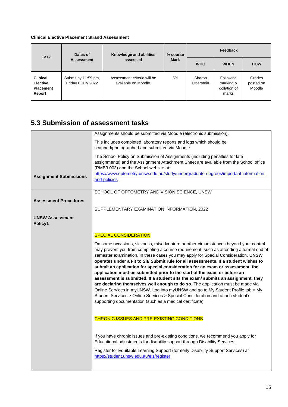#### **Clinical Elective Placement Strand Assessment**

| Dates of<br><b>Task</b>                                          |                                           | Knowledge and abilities                             | % course    | Feedback            |                                                 |                               |
|------------------------------------------------------------------|-------------------------------------------|-----------------------------------------------------|-------------|---------------------|-------------------------------------------------|-------------------------------|
|                                                                  | assessed<br><b>Assessment</b>             |                                                     | <b>Mark</b> | <b>WHO</b>          | <b>WHEN</b>                                     | <b>HOW</b>                    |
| <b>Clinical</b><br><b>Elective</b><br><b>Placement</b><br>Report | Submit by 11:59 pm,<br>Friday 8 July 2022 | Assessment criteria will be<br>available on Moodle. | 5%          | Sharon<br>Oberstein | Following<br>marking &<br>collation of<br>marks | Grades<br>posted on<br>Moodle |

### **5.3 Submission of assessment tasks**

|                                   | Assignments should be submitted via Moodle (electronic submission).                                                                                                                                                                                                                                                                                                                                                                                                                                                                                                                                                                                                                                                                                                                                                                                                                                                                     |
|-----------------------------------|-----------------------------------------------------------------------------------------------------------------------------------------------------------------------------------------------------------------------------------------------------------------------------------------------------------------------------------------------------------------------------------------------------------------------------------------------------------------------------------------------------------------------------------------------------------------------------------------------------------------------------------------------------------------------------------------------------------------------------------------------------------------------------------------------------------------------------------------------------------------------------------------------------------------------------------------|
|                                   | This includes completed laboratory reports and logs which should be<br>scanned/photographed and submitted via Moodle.                                                                                                                                                                                                                                                                                                                                                                                                                                                                                                                                                                                                                                                                                                                                                                                                                   |
|                                   | The School Policy on Submission of Assignments (including penalties for late<br>assignments) and the Assignment Attachment Sheet are available from the School office<br>(RMB3.003) and the School website at:                                                                                                                                                                                                                                                                                                                                                                                                                                                                                                                                                                                                                                                                                                                          |
| <b>Assignment Submissions</b>     | https://www.optometry.unsw.edu.au/study/undergraduate-degrees/important-information-<br>and-policies                                                                                                                                                                                                                                                                                                                                                                                                                                                                                                                                                                                                                                                                                                                                                                                                                                    |
| <b>Assessment Procedures</b>      | SCHOOL OF OPTOMETRY AND VISION SCIENCE, UNSW                                                                                                                                                                                                                                                                                                                                                                                                                                                                                                                                                                                                                                                                                                                                                                                                                                                                                            |
|                                   | SUPPLEMENTARY EXAMINATION INFORMATION, 2022                                                                                                                                                                                                                                                                                                                                                                                                                                                                                                                                                                                                                                                                                                                                                                                                                                                                                             |
| <b>UNSW Assessment</b><br>Policy1 |                                                                                                                                                                                                                                                                                                                                                                                                                                                                                                                                                                                                                                                                                                                                                                                                                                                                                                                                         |
|                                   | <b>SPECIAL CONSIDERATION</b>                                                                                                                                                                                                                                                                                                                                                                                                                                                                                                                                                                                                                                                                                                                                                                                                                                                                                                            |
|                                   | On some occasions, sickness, misadventure or other circumstances beyond your control<br>may prevent you from completing a course requirement, such as attending a formal end of<br>semester examination. In these cases you may apply for Special Consideration. UNSW<br>operates under a Fit to Sit/ Submit rule for all assessments. If a student wishes to<br>submit an application for special consideration for an exam or assessment, the<br>application must be submitted prior to the start of the exam or before an<br>assessment is submitted. If a student sits the exam/ submits an assignment, they<br>are declaring themselves well enough to do so. The application must be made via<br>Online Services in myUNSW. Log into myUNSW and go to My Student Profile tab > My<br>Student Services > Online Services > Special Consideration and attach student's<br>supporting documentation (such as a medical certificate). |
|                                   | <b>CHRONIC ISSUES AND PRE-EXISTING CONDITIONS</b>                                                                                                                                                                                                                                                                                                                                                                                                                                                                                                                                                                                                                                                                                                                                                                                                                                                                                       |
|                                   | If you have chronic issues and pre-existing conditions, we recommend you apply for<br>Educational adjustments for disability support through Disability Services.                                                                                                                                                                                                                                                                                                                                                                                                                                                                                                                                                                                                                                                                                                                                                                       |
|                                   | Register for Equitable Learning Support (formerly Disability Support Services) at<br>https://student.unsw.edu.au/els/register                                                                                                                                                                                                                                                                                                                                                                                                                                                                                                                                                                                                                                                                                                                                                                                                           |
|                                   |                                                                                                                                                                                                                                                                                                                                                                                                                                                                                                                                                                                                                                                                                                                                                                                                                                                                                                                                         |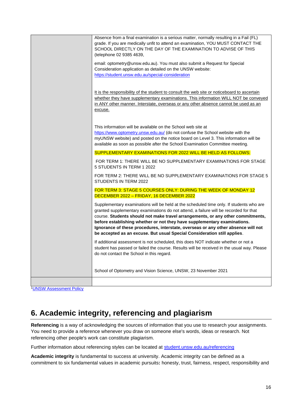| Absence from a final examination is a serious matter, normally resulting in a Fail (FL)<br>grade. If you are medically unfit to attend an examination, YOU MUST CONTACT THE<br>SCHOOL DIRECTLY ON THE DAY OF THE EXAMINATION TO ADVISE OF THIS<br>(telephone 02 9385 4639,                                                                                                                                                                                                                                       |
|------------------------------------------------------------------------------------------------------------------------------------------------------------------------------------------------------------------------------------------------------------------------------------------------------------------------------------------------------------------------------------------------------------------------------------------------------------------------------------------------------------------|
| email: optometry@unsw.edu.au). You must also submit a Request for Special<br>Consideration application as detailed on the UNSW website:<br>https://student.unsw.edu.au/special-consideration                                                                                                                                                                                                                                                                                                                     |
| It is the responsibility of the student to consult the web site or noticeboard to ascertain<br>whether they have supplementary examinations. This information WILL NOT be conveyed<br>in ANY other manner. Interstate, overseas or any other absence cannot be used as an<br>excuse.                                                                                                                                                                                                                             |
| This information will be available on the School web site at<br>https://www.optometry.unsw.edu.au/ (do not confuse the School website with the<br>myUNSW website) and posted on the notice board on Level 3. This information will be<br>available as soon as possible after the School Examination Committee meeting.                                                                                                                                                                                           |
| SUPPLEMENTARY EXAMINATIONS FOR 2022 WILL BE HELD AS FOLLOWS:                                                                                                                                                                                                                                                                                                                                                                                                                                                     |
| FOR TERM 1: THERE WILL BE NO SUPPLEMENTARY EXAMINATIONS FOR STAGE<br>5 STUDENTS IN TERM 1 2022                                                                                                                                                                                                                                                                                                                                                                                                                   |
| FOR TERM 2: THERE WILL BE NO SUPPLEMENTARY EXAMINATIONS FOR STAGE 5<br>STUDENTS IN TERM 2022                                                                                                                                                                                                                                                                                                                                                                                                                     |
| FOR TERM 3: STAGE 5 COURSES ONLY: DURING THE WEEK OF MONDAY 12<br>DECEMBER 2022 - FRIDAY, 16 DECEMBER 2022                                                                                                                                                                                                                                                                                                                                                                                                       |
| Supplementary examinations will be held at the scheduled time only. If students who are<br>granted supplementary examinations do not attend, a failure will be recorded for that<br>course. Students should not make travel arrangements, or any other commitments,<br>before establishing whether or not they have supplementary examinations.<br>Ignorance of these procedures, interstate, overseas or any other absence will not<br>be accepted as an excuse. But usual Special Consideration still applies. |
| If additional assessment is not scheduled, this does NOT indicate whether or not a<br>student has passed or failed the course. Results will be received in the usual way. Please<br>do not contact the School in this regard.                                                                                                                                                                                                                                                                                    |
| School of Optometry and Vision Science, UNSW, 23 November 2021                                                                                                                                                                                                                                                                                                                                                                                                                                                   |
|                                                                                                                                                                                                                                                                                                                                                                                                                                                                                                                  |

1**[UNSW Assessment Policy](http://www.gs.unsw.edu.au/policy/documents/assessmentpolicy.pdf)** 

# **6. Academic integrity, referencing and plagiarism**

**Referencing** is a way of acknowledging the sources of information that you use to research your assignments. You need to provide a reference whenever you draw on someone else's words, ideas or research. Not referencing other people's work can constitute plagiarism.

Further information about referencing styles can be located at [student.unsw.edu.au/referencing](https://student.unsw.edu.au/referencing)

**Academic integrity** is fundamental to success at university. Academic integrity can be defined as a commitment to six fundamental values in academic pursuits**:** honesty, trust, fairness, respect, responsibility and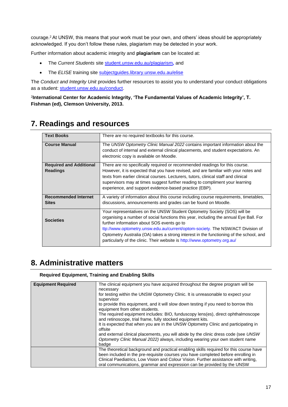courage.<sup>2</sup> At UNSW, this means that your work must be your own, and others' ideas should be appropriately acknowledged. If you don't follow these rules, plagiarism may be detected in your work.

Further information about academic integrity and **plagiarism** can be located at:

- The *Current Students* site [student.unsw.edu.au/plagiarism](https://student.unsw.edu.au/plagiarism)*,* and
- The *ELISE* training site [subjectguides.library.unsw.edu.au/elise](http://subjectguides.library.unsw.edu.au/elise)

The *Conduct and Integrity Unit* provides further resources to assist you to understand your conduct obligations as a student: [student.unsw.edu.au/conduct.](https://student.unsw.edu.au/conduct)

2 **International Center for Academic Integrity, 'The Fundamental Values of Academic Integrity', T. Fishman (ed), Clemson University, 2013.**

| <b>Text Books</b>              | There are no required textbooks for this course.                                       |  |  |  |
|--------------------------------|----------------------------------------------------------------------------------------|--|--|--|
| <b>Course Manual</b>           | The UNSW Optometry Clinic Manual 2022 contains important information about the         |  |  |  |
|                                | conduct of internal and external clinical placements, and student expectations. An     |  |  |  |
|                                | electronic copy is available on Moodle.                                                |  |  |  |
| <b>Required and Additional</b> | There are no specifically required or recommended readings for this course.            |  |  |  |
| <b>Readings</b>                | However, it is expected that you have revised, and are familiar with your notes and    |  |  |  |
|                                | texts from earlier clinical courses. Lecturers, tutors, clinical staff and clinical    |  |  |  |
|                                | supervisors may at times suggest further reading to compliment your learning           |  |  |  |
|                                | experience, and support evidence-based practice (EBP).                                 |  |  |  |
|                                |                                                                                        |  |  |  |
| <b>Recommended Internet</b>    | A variety of information about this course including course requirements, timetables,  |  |  |  |
| <b>Sites</b>                   | discussions, announcements and grades can be found on Moodle.                          |  |  |  |
|                                |                                                                                        |  |  |  |
|                                | Your representatives on the UNSW Student Optometry Society (SOS) will be               |  |  |  |
| <b>Societies</b>               | organising a number of social functions this year, including the annual Eye Ball. For  |  |  |  |
|                                | further information about SOS events go to                                             |  |  |  |
|                                | ttp://www.optometry.unsw.edu.au/current/optom-society. The NSW/ACT Division of         |  |  |  |
|                                | Optometry Australia (OA) takes a strong interest in the functioning of the school, and |  |  |  |
|                                | particularly of the clinic. Their website is http://www.optometry.org.au/              |  |  |  |
|                                |                                                                                        |  |  |  |

## **7. Readings and resources**

### **8. Administrative matters**

#### **Required Equipment, Training and Enabling Skills**

| <b>Equipment Required</b> | The clinical equipment you have acquired throughout the degree program will be<br>necessary<br>for testing within the UNSW Optometry Clinic. It is unreasonable to expect your<br>supervisor<br>to provide this equipment, and it will slow down testing if you need to borrow this<br>equipment from other students.<br>The required equipment includes: BIO, funduscopy lens(es), direct ophthalmoscope<br>and retinoscope, trial frame, fully stocked equipment kits.<br>It is expected that when you are in the UNSW Optometry Clinic and participating in<br>offsite |
|---------------------------|---------------------------------------------------------------------------------------------------------------------------------------------------------------------------------------------------------------------------------------------------------------------------------------------------------------------------------------------------------------------------------------------------------------------------------------------------------------------------------------------------------------------------------------------------------------------------|
|                           | and external clinical placements, you will abide by the clinic dress code (see UNSW)<br>Optometry Clinic Manual 2022) always, including wearing your own student name<br>badge                                                                                                                                                                                                                                                                                                                                                                                            |
|                           | The theoretical background and practical enabling skills required for this course have<br>been included in the pre-requisite courses you have completed before enrolling in<br>Clinical Paediatrics, Low Vision and Colour Vision. Further assistance with writing,<br>oral communications, grammar and expression can be provided by the UNSW                                                                                                                                                                                                                            |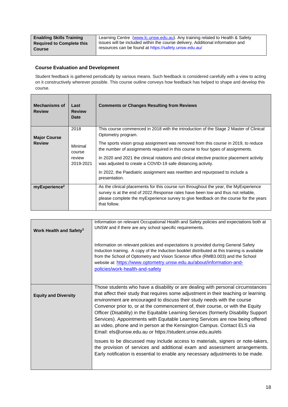| <b>Enabling Skills Training</b>  | Learning Centre (www.lc.unsw.edu.au). Any training related to Health & Safety  |
|----------------------------------|--------------------------------------------------------------------------------|
| <b>Required to Complete this</b> | issues will be included within the course delivery. Additional information and |
| <b>Course</b>                    | resources can be found at https://safety.unsw.edu.au/                          |

#### **Course Evaluation and Development**

Student feedback is gathered periodically by various means. Such feedback is considered carefully with a view to acting on it constructively wherever possible. This course outline conveys how feedback has helped to shape and develop this course.

| <b>Mechanisms of</b><br><b>Review</b> | Last<br><b>Review</b><br>Date                    | <b>Comments or Changes Resulting from Reviews</b>                                                                                                                                                                                                                                                                                                                                                                                                |
|---------------------------------------|--------------------------------------------------|--------------------------------------------------------------------------------------------------------------------------------------------------------------------------------------------------------------------------------------------------------------------------------------------------------------------------------------------------------------------------------------------------------------------------------------------------|
| <b>Major Course</b><br><b>Review</b>  | 2018<br>Minimal<br>course<br>review<br>2019-2021 | This course commenced in 2018 with the introduction of the Stage 2 Master of Clinical<br>Optometry program.<br>The sports vision group assignment was removed from this course in 2019, to reduce<br>the number of assignments required in this course to four types of assignments.<br>In 2020 and 2021 the clinical rotations and clinical elective practice placement activity<br>was adjusted to create a COVID-19 safe distancing activity. |
|                                       |                                                  | In 2022, the Paediatric assignment was rewritten and repurposed to include a<br>presentation.                                                                                                                                                                                                                                                                                                                                                    |
| myExperience <sup>2</sup>             |                                                  | As the clinical placements for this course run throughout the year, the MyExperience<br>survey is at the end of 2022. Response rates have been low and thus not reliable,<br>please complete the myExperience survey to give feedback on the course for the years<br>that follow.                                                                                                                                                                |

| Work Health and Safety <sup>3</sup> | Information on relevant Occupational Health and Safety policies and expectations both at<br>UNSW and if there are any school specific requirements.<br>Information on relevant policies and expectations is provided during General Safety<br>Induction training. A copy of the Induction booklet distributed at this training is available<br>from the School of Optometry and Vision Science office (RMB3.003) and the School<br>website at: https://www.optometry.unsw.edu.au/about/information-and-<br>policies/work-health-and-safety                                                                                                                                                                                                                                                                                                                                                                 |
|-------------------------------------|------------------------------------------------------------------------------------------------------------------------------------------------------------------------------------------------------------------------------------------------------------------------------------------------------------------------------------------------------------------------------------------------------------------------------------------------------------------------------------------------------------------------------------------------------------------------------------------------------------------------------------------------------------------------------------------------------------------------------------------------------------------------------------------------------------------------------------------------------------------------------------------------------------|
| <b>Equity and Diversity</b>         | Those students who have a disability or are dealing with personal circumstances<br>that affect their study that requires some adjustment in their teaching or learning<br>environment are encouraged to discuss their study needs with the course<br>Convenor prior to, or at the commencement of, their course, or with the Equity<br>Officer (Disability) in the Equitable Learning Services (formerly Disability Support<br>Services). Appointments with Equitable Learning Services are now being offered<br>as video, phone and in person at the Kensington Campus. Contact ELS via<br>Email: els @unsw.edu.au or https://student.unsw.edu.au/els<br>Issues to be discussed may include access to materials, signers or note-takers,<br>the provision of services and additional exam and assessment arrangements.<br>Early notification is essential to enable any necessary adjustments to be made. |